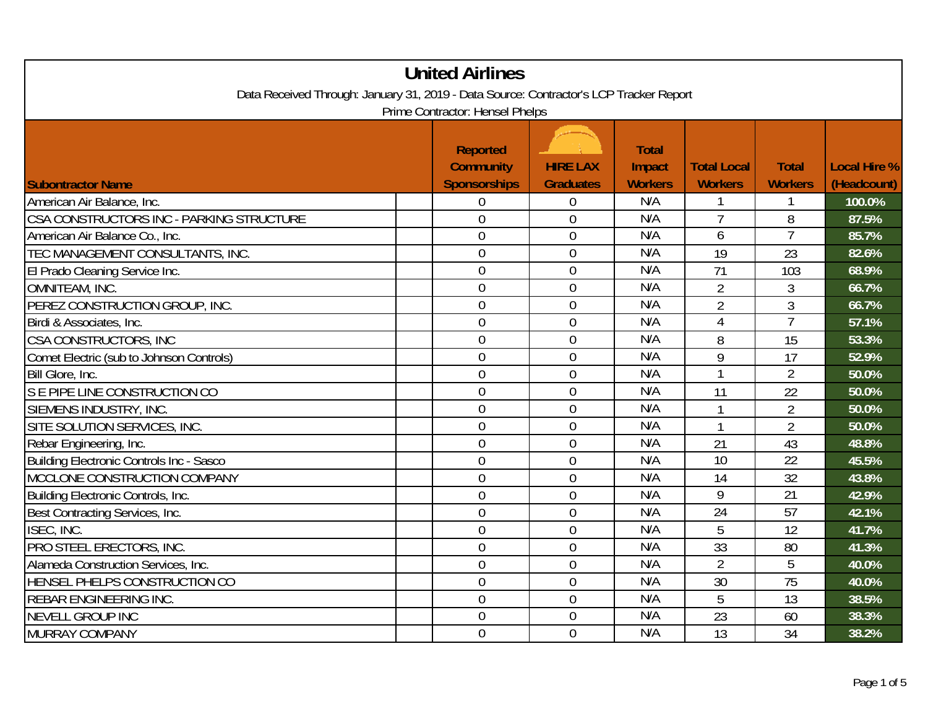| <b>United Airlines</b>                                                                                                    |                                                            |                                     |                                          |                                      |                                |                             |  |
|---------------------------------------------------------------------------------------------------------------------------|------------------------------------------------------------|-------------------------------------|------------------------------------------|--------------------------------------|--------------------------------|-----------------------------|--|
| Data Received Through: January 31, 2019 - Data Source: Contractor's LCP Tracker Report<br>Prime Contractor: Hensel Phelps |                                                            |                                     |                                          |                                      |                                |                             |  |
| <b>Subontractor Name</b>                                                                                                  | <b>Reported</b><br><b>Community</b><br><b>Sponsorships</b> | <b>HIRE LAX</b><br><b>Graduates</b> | <b>Total</b><br>Impact<br><b>Workers</b> | <b>Total Local</b><br><b>Workers</b> | <b>Total</b><br><b>Workers</b> | Local Hire %<br>(Headcount) |  |
| American Air Balance, Inc.                                                                                                | $\boldsymbol{0}$                                           | $\boldsymbol{0}$                    | N/A                                      |                                      |                                | 100.0%                      |  |
| CSA CONSTRUCTORS INC - PARKING STRUCTURE                                                                                  | $\overline{0}$                                             | $\overline{0}$                      | N/A                                      | $\overline{7}$                       | 8                              | 87.5%                       |  |
| American Air Balance Co., Inc.                                                                                            | $\overline{0}$                                             | $\overline{0}$                      | N/A                                      | 6                                    | 7                              | 85.7%                       |  |
| TEC MANAGEMENT CONSULTANTS, INC.                                                                                          | $\mathbf 0$                                                | $\mathbf 0$                         | N/A                                      | 19                                   | 23                             | 82.6%                       |  |
| El Prado Cleaning Service Inc.                                                                                            | $\overline{0}$                                             | $\mathbf 0$                         | N/A                                      | 71                                   | 103                            | 68.9%                       |  |
| OMNITEAM, INC.                                                                                                            | $\overline{0}$                                             | $\overline{0}$                      | N/A                                      | $\overline{2}$                       | $\mathfrak{Z}$                 | 66.7%                       |  |
| PEREZ CONSTRUCTION GROUP, INC.                                                                                            | $\mathbf 0$                                                | $\mathbf 0$                         | N/A                                      | $\overline{2}$                       | 3                              | 66.7%                       |  |
| Birdi & Associates, Inc.                                                                                                  | $\overline{0}$                                             | $\overline{0}$                      | N/A                                      | $\overline{4}$                       | 7                              | 57.1%                       |  |
| CSA CONSTRUCTORS, INC                                                                                                     | $\overline{0}$                                             | $\theta$                            | N/A                                      | 8                                    | 15                             | 53.3%                       |  |
| Comet Electric (sub to Johnson Controls)                                                                                  | $\theta$                                                   | $\mathbf 0$                         | N/A                                      | 9                                    | 17                             | 52.9%                       |  |
| Bill Glore, Inc.                                                                                                          | $\boldsymbol{0}$                                           | $\mathbf 0$                         | N/A                                      | $\mathbf{1}$                         | $\overline{2}$                 | 50.0%                       |  |
| S E PIPE LINE CONSTRUCTION CO                                                                                             | $\overline{0}$                                             | $\overline{0}$                      | N/A                                      | 11                                   | 22                             | 50.0%                       |  |
| SIEMENS INDUSTRY, INC.                                                                                                    | $\overline{0}$                                             | $\mathbf{0}$                        | N/A                                      | $\mathbf{1}$                         | $\overline{2}$                 | 50.0%                       |  |
| SITE SOLUTION SERVICES, INC.                                                                                              | $\overline{0}$                                             | $\overline{0}$                      | N/A                                      | $\mathbf{1}$                         | $\overline{2}$                 | 50.0%                       |  |
| Rebar Engineering, Inc.                                                                                                   | $\overline{0}$                                             | $\mathbf 0$                         | N/A                                      | 21                                   | 43                             | 48.8%                       |  |
| <b>Building Electronic Controls Inc - Sasco</b>                                                                           | $\overline{0}$                                             | $\mathbf{0}$                        | N/A                                      | $\overline{10}$                      | $\overline{22}$                | 45.5%                       |  |
| MCCLONE CONSTRUCTION COMPANY                                                                                              | $\overline{0}$                                             | $\overline{0}$                      | N/A                                      | 14                                   | 32                             | 43.8%                       |  |
| Building Electronic Controls, Inc.                                                                                        | $\theta$                                                   | $\overline{0}$                      | N/A                                      | 9                                    | $\overline{21}$                | 42.9%                       |  |
| Best Contracting Services, Inc.                                                                                           | $\mathbf{0}$                                               | $\mathbf{0}$                        | N/A                                      | $\overline{24}$                      | $\overline{57}$                | 42.1%                       |  |
| ISEC, INC.                                                                                                                | $\mathbf 0$                                                | $\mathbf{0}$                        | N/A                                      | 5                                    | 12                             | 41.7%                       |  |
| PRO STEEL ERECTORS, INC.                                                                                                  | $\mathbf 0$                                                | $\boldsymbol{0}$                    | N/A                                      | 33                                   | 80                             | 41.3%                       |  |
| Alameda Construction Services, Inc.                                                                                       | $\theta$                                                   | $\mathbf{0}$                        | N/A                                      | $\overline{2}$                       | $\overline{5}$                 | 40.0%                       |  |
| HENSEL PHELPS CONSTRUCTION CO                                                                                             | $\overline{0}$                                             | $\overline{0}$                      | N/A                                      | 30                                   | 75                             | 40.0%                       |  |
| REBAR ENGINEERING INC.                                                                                                    | $\theta$                                                   | $\overline{0}$                      | N/A                                      | 5                                    | 13                             | 38.5%                       |  |
| NEVELL GROUP INC                                                                                                          | $\boldsymbol{0}$                                           | $\mathbf{0}$                        | N/A                                      | 23                                   | 60                             | 38.3%                       |  |
| MURRAY COMPANY                                                                                                            | $\overline{0}$                                             | $\overline{0}$                      | N/A                                      | $\overline{13}$                      | 34                             | 38.2%                       |  |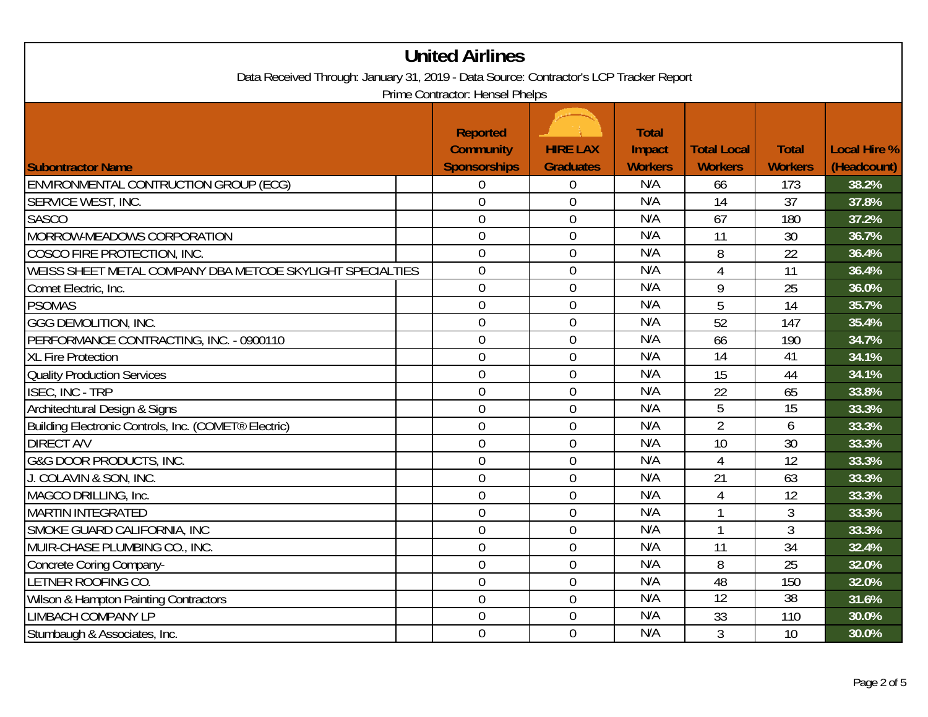| <b>United Airlines</b>                                                                                                    |                                                            |                                     |                                          |                                      |                                |                             |
|---------------------------------------------------------------------------------------------------------------------------|------------------------------------------------------------|-------------------------------------|------------------------------------------|--------------------------------------|--------------------------------|-----------------------------|
| Data Received Through: January 31, 2019 - Data Source: Contractor's LCP Tracker Report<br>Prime Contractor: Hensel Phelps |                                                            |                                     |                                          |                                      |                                |                             |
| <b>Subontractor Name</b>                                                                                                  | <b>Reported</b><br><b>Community</b><br><b>Sponsorships</b> | <b>HIRE LAX</b><br><b>Graduates</b> | <b>Total</b><br>Impact<br><b>Workers</b> | <b>Total Local</b><br><b>Workers</b> | <b>Total</b><br><b>Workers</b> | Local Hire %<br>(Headcount) |
| ENVIRONMENTAL CONTRUCTION GROUP (ECG)                                                                                     | $\overline{0}$                                             | $\mathbf 0$                         | N/A                                      | 66                                   | 173                            | 38.2%                       |
| SERVICE WEST, INC.                                                                                                        | $\overline{0}$                                             | $\overline{0}$                      | N/A                                      | 14                                   | 37                             | 37.8%                       |
| <b>SASCO</b>                                                                                                              | $\mathbf 0$                                                | $\boldsymbol{0}$                    | N/A                                      | 67                                   | 180                            | 37.2%                       |
| MORROW-MEADOWS CORPORATION                                                                                                | $\boldsymbol{0}$                                           | $\mathbf 0$                         | N/A                                      | 11                                   | 30                             | 36.7%                       |
| COSCO FIRE PROTECTION, INC.                                                                                               | $\overline{0}$                                             | $\overline{0}$                      | N/A                                      | 8                                    | 22                             | 36.4%                       |
| WEISS SHEET METAL COMPANY DBA METCOE SKYLIGHT SPECIALTIES                                                                 | $\overline{0}$                                             | $\overline{0}$                      | N/A                                      | $\overline{4}$                       | 11                             | 36.4%                       |
| Comet Electric, Inc.                                                                                                      | $\overline{0}$                                             | $\mathbf 0$                         | N/A                                      | 9                                    | 25                             | 36.0%                       |
| <b>PSOMAS</b>                                                                                                             | $\overline{0}$                                             | $\overline{0}$                      | N/A                                      | $\overline{5}$                       | $\overline{14}$                | 35.7%                       |
| <b>GGG DEMOLITION, INC.</b>                                                                                               | $\overline{0}$                                             | $\mathbf 0$                         | N/A                                      | 52                                   | 147                            | 35.4%                       |
| PERFORMANCE CONTRACTING, INC. - 0900110                                                                                   | $\boldsymbol{0}$                                           | $\mathbf 0$                         | N/A                                      | 66                                   | 190                            | 34.7%                       |
| <b>XL Fire Protection</b>                                                                                                 | $\overline{0}$                                             | $\mathbf 0$                         | N/A                                      | $\overline{14}$                      | 41                             | 34.1%                       |
| <b>Quality Production Services</b>                                                                                        | $\overline{0}$                                             | $\overline{0}$                      | N/A                                      | 15                                   | 44                             | 34.1%                       |
| <b>ISEC, INC - TRP</b>                                                                                                    | $\overline{0}$                                             | $\overline{0}$                      | N/A                                      | 22                                   | 65                             | 33.8%                       |
| Architechtural Design & Signs                                                                                             | $\overline{0}$                                             | $\boldsymbol{0}$                    | N/A                                      | $\overline{5}$                       | $\overline{15}$                | 33.3%                       |
| Building Electronic Controls, Inc. (COMET® Electric)                                                                      | $\overline{0}$                                             | $\mathbf 0$                         | N/A                                      | $\overline{2}$                       | 6                              | 33.3%                       |
| <b>DIRECT A/V</b>                                                                                                         | $\overline{0}$                                             | $\mathbf 0$                         | N/A                                      | 10                                   | 30                             | 33.3%                       |
| G&G DOOR PRODUCTS, INC.                                                                                                   | $\overline{0}$                                             | $\boldsymbol{0}$                    | N/A                                      | $\overline{4}$                       | 12                             | 33.3%                       |
| J. COLAVIN & SON, INC.                                                                                                    | $\overline{0}$                                             | $\boldsymbol{0}$                    | N/A                                      | 21                                   | 63                             | 33.3%                       |
| MAGCO DRILLING, Inc.                                                                                                      | $\overline{0}$                                             | $\mathbf 0$                         | N/A                                      | 4                                    | 12                             | 33.3%                       |
| <b>MARTIN INTEGRATED</b>                                                                                                  | $\overline{0}$                                             | $\mathbf 0$                         | N/A                                      |                                      | $\mathfrak{Z}$                 | 33.3%                       |
| SMOKE GUARD CALIFORNIA, INC                                                                                               | $\overline{0}$                                             | $\boldsymbol{0}$                    | N/A                                      |                                      | $\mathfrak{Z}$                 | 33.3%                       |
| MUIR-CHASE PLUMBING CO., INC.                                                                                             | $\overline{0}$                                             | $\mathbf 0$                         | N/A                                      | 11                                   | 34                             | 32.4%                       |
| Concrete Coring Company-                                                                                                  | $\overline{0}$                                             | $\overline{0}$                      | N/A                                      | 8                                    | 25                             | 32.0%                       |
| <b>ETNER ROOFING CO.</b>                                                                                                  | $\mathbf 0$                                                | $\mathbf 0$                         | N/A                                      | 48                                   | 150                            | 32.0%                       |
| <b>Wilson &amp; Hampton Painting Contractors</b>                                                                          | $\boldsymbol{0}$                                           | $\mathbf 0$                         | N/A                                      | $\overline{12}$                      | $\overline{38}$                | 31.6%                       |
| <b>LIMBACH COMPANY LP</b>                                                                                                 | $\overline{0}$                                             | $\overline{0}$                      | N/A                                      | 33                                   | 110                            | 30.0%                       |
| Stumbaugh & Associates, Inc.                                                                                              | $\overline{0}$                                             | $\overline{0}$                      | N/A                                      | 3                                    | 10                             | 30.0%                       |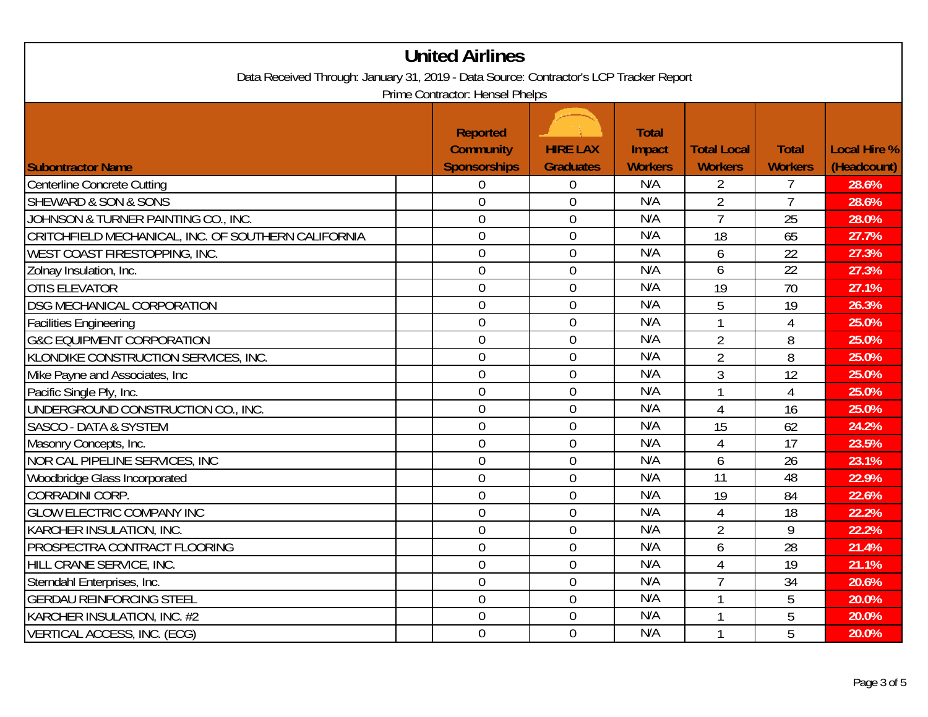| <b>United Airlines</b>                                                                                                    |                                                     |                                     |                                          |                                      |                                |                             |
|---------------------------------------------------------------------------------------------------------------------------|-----------------------------------------------------|-------------------------------------|------------------------------------------|--------------------------------------|--------------------------------|-----------------------------|
| Data Received Through: January 31, 2019 - Data Source: Contractor's LCP Tracker Report<br>Prime Contractor: Hensel Phelps |                                                     |                                     |                                          |                                      |                                |                             |
| <b>Subontractor Name</b>                                                                                                  | <b>Reported</b><br><b>Community</b><br>Sponsorships | <b>HIRE LAX</b><br><b>Graduates</b> | <b>Total</b><br>Impact<br><b>Workers</b> | <b>Total Local</b><br><b>Workers</b> | <b>Total</b><br><b>Workers</b> | Local Hire %<br>(Headcount) |
| Centerline Concrete Cutting                                                                                               | $\overline{0}$                                      | $\boldsymbol{0}$                    | N/A                                      | $\overline{2}$                       | $\overline{7}$                 | 28.6%                       |
| <b>SHEWARD &amp; SON &amp; SONS</b>                                                                                       | $\overline{0}$                                      | $\boldsymbol{0}$                    | N/A                                      | $\overline{2}$                       | $\overline{7}$                 | 28.6%                       |
| JOHNSON & TURNER PAINTING CO., INC.                                                                                       | $\overline{0}$                                      | $\mathbf 0$                         | N/A                                      | $\overline{7}$                       | 25                             | 28.0%                       |
| CRITCHFIELD MECHANICAL, INC. OF SOUTHERN CALIFORNIA                                                                       | $\overline{0}$                                      | $\overline{0}$                      | N/A                                      | 18                                   | 65                             | 27.7%                       |
| <b>WEST COAST FIRESTOPPING, INC.</b>                                                                                      | $\overline{0}$                                      | $\mathbf 0$                         | N/A                                      | 6                                    | 22                             | 27.3%                       |
| Zolnay Insulation, Inc.                                                                                                   | $\overline{0}$                                      | $\overline{0}$                      | N/A                                      | 6                                    | 22                             | 27.3%                       |
| <b>OTIS ELEVATOR</b>                                                                                                      | $\overline{0}$                                      | $\overline{0}$                      | N/A                                      | 19                                   | 70                             | 27.1%                       |
| <b>DSG MECHANICAL CORPORATION</b>                                                                                         | $\overline{0}$                                      | $\overline{0}$                      | N/A                                      | $\overline{5}$                       | 19                             | 26.3%                       |
| <b>Facilities Engineering</b>                                                                                             | $\overline{0}$                                      | $\mathbf 0$                         | N/A                                      |                                      | $\overline{4}$                 | 25.0%                       |
| <b>G&amp;C EQUIPMENT CORPORATION</b>                                                                                      | $\overline{0}$                                      | $\mathbf{0}$                        | N/A                                      | $\overline{2}$                       | 8                              | 25.0%                       |
| KLONDIKE CONSTRUCTION SERVICES, INC.                                                                                      | $\overline{0}$                                      | $\overline{0}$                      | N/A                                      | $\overline{2}$                       | 8                              | 25.0%                       |
| Mike Payne and Associates, Inc                                                                                            | $\overline{0}$                                      | $\mathbf 0$                         | N/A                                      | 3                                    | 12                             | 25.0%                       |
| Pacific Single Ply, Inc.                                                                                                  | $\overline{0}$                                      | $\overline{0}$                      | N/A                                      |                                      | $\overline{4}$                 | 25.0%                       |
| UNDERGROUND CONSTRUCTION CO., INC.                                                                                        | $\overline{0}$                                      | $\overline{0}$                      | N/A                                      | $\overline{4}$                       | 16                             | 25.0%                       |
| <b>SASCO - DATA &amp; SYSTEM</b>                                                                                          | $\overline{0}$                                      | $\overline{0}$                      | N/A                                      | 15                                   | 62                             | 24.2%                       |
| Masonry Concepts, Inc.                                                                                                    | $\overline{0}$                                      | $\mathbf 0$                         | N/A                                      | $\overline{4}$                       | 17                             | 23.5%                       |
| NOR CAL PIPELINE SERVICES, INC                                                                                            | $\overline{0}$                                      | $\mathbf 0$                         | N/A                                      | 6                                    | 26                             | 23.1%                       |
| Woodbridge Glass Incorporated                                                                                             | $\overline{0}$                                      | $\overline{0}$                      | N/A                                      | $\overline{11}$                      | $\overline{48}$                | 22.9%                       |
| CORRADINI CORP.                                                                                                           | $\overline{0}$                                      | $\boldsymbol{0}$                    | N/A                                      | 19                                   | 84                             | 22.6%                       |
| <b>GLOW ELECTRIC COMPANY INC</b>                                                                                          | $\overline{0}$                                      | $\overline{0}$                      | N/A                                      | $\overline{4}$                       | 18                             | 22.2%                       |
| KARCHER INSULATION, INC.                                                                                                  | $\overline{0}$                                      | $\mathbf 0$                         | N/A                                      | $\overline{2}$                       | 9                              | 22.2%                       |
| PROSPECTRA CONTRACT FLOORING                                                                                              | $\overline{0}$                                      | $\mathbf 0$                         | N/A                                      | 6                                    | 28                             | 21.4%                       |
| HILL CRANE SERVICE, INC.                                                                                                  | $\overline{0}$                                      | $\overline{0}$                      | N/A                                      | $\overline{4}$                       | 19                             | 21.1%                       |
| Sterndahl Enterprises, Inc.                                                                                               | $\overline{0}$                                      | $\overline{0}$                      | N/A                                      | $\overline{7}$                       | 34                             | 20.6%                       |
| <b>GERDAU REINFORCING STEEL</b>                                                                                           | $\overline{0}$                                      | $\boldsymbol{0}$                    | N/A                                      |                                      | 5                              | 20.0%                       |
| KARCHER INSULATION, INC. #2                                                                                               | $\overline{0}$                                      | $\overline{0}$                      | N/A                                      |                                      | 5                              | 20.0%                       |
| VERTICAL ACCESS, INC. (ECG)                                                                                               | $\overline{0}$                                      | $\overline{0}$                      | N/A                                      | 1                                    | 5                              | 20.0%                       |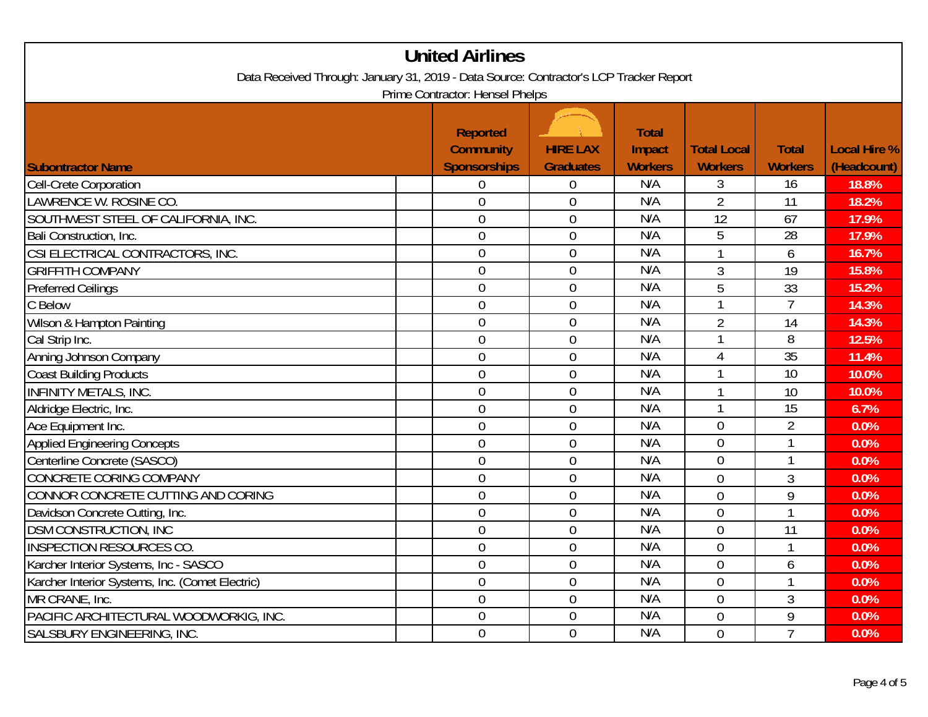| <b>United Airlines</b>                                                                                                    |                |                  |     |                |                 |       |
|---------------------------------------------------------------------------------------------------------------------------|----------------|------------------|-----|----------------|-----------------|-------|
| Data Received Through: January 31, 2019 - Data Source: Contractor's LCP Tracker Report<br>Prime Contractor: Hensel Phelps |                |                  |     |                |                 |       |
|                                                                                                                           |                |                  |     |                |                 |       |
| Cell-Crete Corporation                                                                                                    | $\overline{0}$ | $\mathbf 0$      | N/A | 3              | $\overline{16}$ | 18.8% |
| LAWRENCE W. ROSINE CO.                                                                                                    | $\overline{0}$ | $\overline{0}$   | N/A | $\overline{2}$ | 11              | 18.2% |
| SOUTHWEST STEEL OF CALIFORNIA, INC.                                                                                       | $\overline{0}$ | $\overline{0}$   | N/A | 12             | 67              | 17.9% |
| Bali Construction, Inc.                                                                                                   | 0              | $\boldsymbol{0}$ | N/A | 5              | $\overline{28}$ | 17.9% |
| CSI ELECTRICAL CONTRACTORS, INC.                                                                                          | $\overline{0}$ | $\overline{0}$   | N/A | $\mathbf{1}$   | 6               | 16.7% |
| <b>GRIFFITH COMPANY</b>                                                                                                   | $\overline{0}$ | $\overline{0}$   | N/A | 3              | 19              | 15.8% |
| <b>Preferred Ceilings</b>                                                                                                 | $\overline{0}$ | $\mathbf{0}$     | N/A | 5              | 33              | 15.2% |
| C Below                                                                                                                   | $\overline{0}$ | $\overline{0}$   | N/A |                | $\overline{7}$  | 14.3% |
| Wilson & Hampton Painting                                                                                                 | $\overline{0}$ | $\overline{0}$   | N/A | $\overline{2}$ | 14              | 14.3% |
| Cal Strip Inc.                                                                                                            | $\overline{0}$ | $\mathbf{0}$     | N/A |                | 8               | 12.5% |
| Anning Johnson Company                                                                                                    | $\overline{0}$ | $\mathbf 0$      | N/A | $\overline{4}$ | 35              | 11.4% |
| Coast Building Products                                                                                                   | $\overline{0}$ | $\overline{0}$   | N/A |                | 10              | 10.0% |
| <b>INFINITY METALS, INC.</b>                                                                                              | $\overline{0}$ | $\overline{0}$   | N/A |                | 10              | 10.0% |
| Aldridge Electric, Inc.                                                                                                   | $\overline{0}$ | $\overline{0}$   | N/A |                | 15              | 6.7%  |
| Ace Equipment Inc.                                                                                                        | $\overline{0}$ | $\overline{0}$   | N/A | $\mathbf 0$    | $\overline{2}$  | 0.0%  |
| <b>Applied Engineering Concepts</b>                                                                                       | $\overline{0}$ | $\overline{0}$   | N/A | $\overline{0}$ |                 | 0.0%  |
| Centerline Concrete (SASCO)                                                                                               | $\overline{0}$ | $\overline{0}$   | N/A | $\overline{0}$ |                 | 0.0%  |
| <b>CONCRETE CORING COMPANY</b>                                                                                            | $\overline{0}$ | $\boldsymbol{0}$ | N/A | $\mathbf 0$    | 3               | 0.0%  |
| CONNOR CONCRETE CUTTING AND CORING                                                                                        | $\overline{0}$ | $\overline{0}$   | N/A | $\overline{0}$ | 9               | 0.0%  |
| Davidson Concrete Cutting, Inc.                                                                                           | $\overline{0}$ | $\overline{0}$   | N/A | $\overline{0}$ |                 | 0.0%  |
| <b>DSM CONSTRUCTION, INC</b>                                                                                              | 0              | $\overline{0}$   | N/A | $\mathbf 0$    | 11              | 0.0%  |
| <b>INSPECTION RESOURCES CO.</b>                                                                                           | $\overline{0}$ | $\mathbf 0$      | N/A | $\mathbf 0$    | $\mathbf{1}$    | 0.0%  |
| Karcher Interior Systems, Inc - SASCO                                                                                     | $\overline{0}$ | $\overline{0}$   | N/A | $\overline{0}$ | 6               | 0.0%  |
| Karcher Interior Systems, Inc. (Comet Electric)                                                                           | $\overline{0}$ | $\overline{0}$   | N/A | $\mathbf 0$    |                 | 0.0%  |
| MR CRANE, Inc.                                                                                                            | $\overline{0}$ | $\overline{0}$   | N/A | $\overline{0}$ | 3               | 0.0%  |
| PACIFIC ARCHITECTURAL WOODWORKIG, INC.                                                                                    | $\overline{0}$ | $\overline{0}$   | N/A | $\overline{0}$ | 9               | 0.0%  |
| <b>SALSBURY ENGINEERING, INC.</b>                                                                                         | $\overline{0}$ | $\overline{0}$   | N/A | $\overline{0}$ | $\overline{7}$  | 0.0%  |